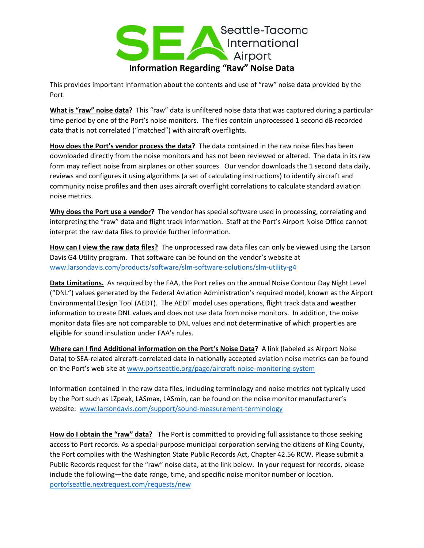

This provides important information about the contents and use of "raw" noise data provided by the Port.

**What is "raw" noise data?** This "raw" data is unfiltered noise data that was captured during a particular time period by one of the Port's noise monitors. The files contain unprocessed 1 second dB recorded data that is not correlated ("matched") with aircraft overflights.

**How does the Port's vendor process the data?** The data contained in the raw noise files has been downloaded directly from the noise monitors and has not been reviewed or altered. The data in its raw form may reflect noise from airplanes or other sources. Our vendor downloads the 1 second data daily, reviews and configures it using algorithms (a set of calculating instructions) to identify aircraft and community noise profiles and then uses aircraft overflight correlations to calculate standard aviation noise metrics.

**Why does the Port use a vendor?** The vendor has special software used in processing, correlating and interpreting the "raw" data and flight track information. Staff at the Port's Airport Noise Office cannot interpret the raw data files to provide further information.

**How can I view the raw data files?** The unprocessed raw data files can only be viewed using the Larson Davis G4 Utility program. That software can be found on the vendor's website at [www.larsondavis.com/products/software/slm-software-solutions/slm-utility-g4](http://www.larsondavis.com/products/software/slm-software-solutions/slm-utility-g4)

**Data Limitations.** As required by the FAA, the Port relies on the annual Noise Contour Day Night Level ("DNL") values generated by the Federal Aviation Administration's required model, known as the Airport Environmental Design Tool (AEDT). The AEDT model uses operations, flight track data and weather information to create DNL values and does not use data from noise monitors. In addition, the noise monitor data files are not comparable to DNL values and not determinative of which properties are eligible for sound insulation under FAA's rules.

**Where can I find Additional information on the Port's Noise Data?** A link (labeled as Airport Noise Data) to SEA-related aircraft-correlated data in nationally accepted aviation noise metrics can be found on the Port's web site at [www.portseattle.org/page/aircraft-noise-monitoring-system](http://www.portseattle.org/page/aircraft-noise-monitoring-system) 

Information contained in the raw data files, including terminology and noise metrics not typically used by the Port such as LZpeak, LASmax, LASmin, can be found on the noise monitor manufacturer's website: [www.larsondavis.com/support/sound-measurement-terminology](http://www.larsondavis.com/support/sound-measurement-terminology)

**How do I obtain the "raw" data?** The Port is committed to providing full assistance to those seeking access to Port records. As a special-purpose municipal corporation serving the citizens of King County, the Port complies with the [Washington State Public Records Act, Chapter 42.56 RCW.](http://apps.leg.wa.gov/RCW/default.aspx?cite=42.56) Please submit a Public Records request for the "raw" noise data, at the link below. In your request for records, please include the following—the date range, time, and specific noise monitor number or location. [portofseattle.nextrequest.com/requests/new](https://portofseattle.nextrequest.com/requests/new)